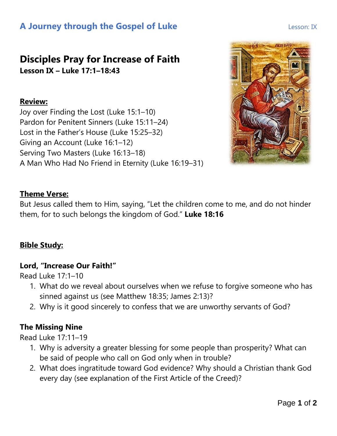# **A Journey through the Gospel of Luke Lesson: IX** Lesson: IX

## **Disciples Pray for Increase of Faith Lesson IX – Luke 17:1–18:43**

#### **Review:**

Joy over Finding the Lost (Luke 15:1–10) Pardon for Penitent Sinners (Luke 15:11–24) Lost in the Father's House (Luke 15:25–32) Giving an Account (Luke 16:1–12) Serving Two Masters (Luke 16:13–18) A Man Who Had No Friend in Eternity (Luke 16:19–31)



### **Theme Verse:**

But Jesus called them to Him, saying, "Let the children come to me, and do not hinder them, for to such belongs the kingdom of God." **Luke 18:16**

### **Bible Study:**

#### **Lord, "Increase Our Faith!"**

Read Luke 17:1–10

- 1. What do we reveal about ourselves when we refuse to forgive someone who has sinned against us (see Matthew 18:35; James 2:13)?
- 2. Why is it good sincerely to confess that we are unworthy servants of God?

### **The Missing Nine**

Read Luke 17:11–19

- 1. Why is adversity a greater blessing for some people than prosperity? What can be said of people who call on God only when in trouble?
- 2. What does ingratitude toward God evidence? Why should a Christian thank God every day (see explanation of the First Article of the Creed)?